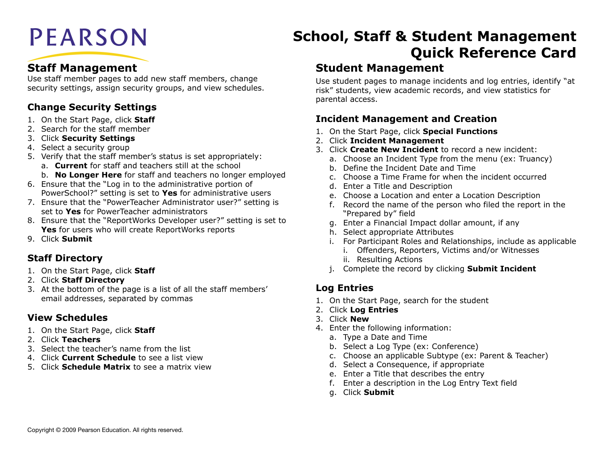# **PEARSON**

# **Staff Management**

Use staff member pages to add new staff members, change security settings, assign security groups, and view schedules.

## **Change Security Settings**

- 1. On the Start Page, click **Staff**
- 2. Search for the staff member
- 3. Click **Security Settings**
- 4. Select a security group
- 5. Verify that the staff member's status is set appropriately:
	- a. **Current** for staff and teachers still at the school
	- b. **No Longer Here** for staff and teachers no longer employed
- 6. Ensure that the "Log in to the administrative portion of PowerSchool?" setting is set to **Yes** for administrative users
- 7. Ensure that the "PowerTeacher Administrator user?" setting is set to **Yes** for PowerTeacher administrators
- 8. Ensure that the "ReportWorks Developer user?" setting is set to **Yes** for users who will create ReportWorks reports
- 9. Click **Submit**

#### **Staff Directory**

- 1. On the Start Page, click **Staff**
- 2. Click **Staff Directory**
- 3. At the bottom of the page is a list of all the staff members' email addresses, separated by commas

#### **View Schedules**

- 1. On the Start Page, click **Staff**
- 2. Click **Teachers**
- 3. Select the teacher's name from the list
- 4. Click **Current Schedule** to see a list view
- 5. Click **Schedule Matrix** to see a matrix view

# **School, Staff & Student Management Quick Reference Card**

## **Student Management**

Use student pages to manage incidents and log entries, identify "at risk" students, view academic records, and view statistics for parental access.

#### **Incident Management and Creation**

- 1. On the Start Page, click **Special Functions**
- 2. Click **Incident Management**
- 3. Click **Create New Incident** to record a new incident:
	- a. Choose an Incident Type from the menu (ex: Truancy)
	- b. Define the Incident Date and Time
	- c. Choose a Time Frame for when the incident occurred
	- d. Enter a Title and Description
	- e. Choose a Location and enter a Location Description
	- f. Record the name of the person who filed the report in the "Prepared by" field
	- g. Enter a Financial Impact dollar amount, if any
	- h. Select appropriate Attributes
	- i. For Participant Roles and Relationships, include as applicable
		- i. Offenders, Reporters, Victims and/or Witnesses
		- ii. Resulting Actions
	- j. Complete the record by clicking **Submit Incident**

#### **Log Entries**

- 1. On the Start Page, search for the student
- 2. Click **Log Entries**
- 3. Click **New**
- 4. Enter the following information:
	- a. Type a Date and Time
	- b. Select a Log Type (ex: Conference)
	- c. Choose an applicable Subtype (ex: Parent & Teacher)
	- d. Select a Consequence, if appropriate
	- e. Enter a Title that describes the entry
	- f. Enter a description in the Log Entry Text field
	- g. Click **Submit**